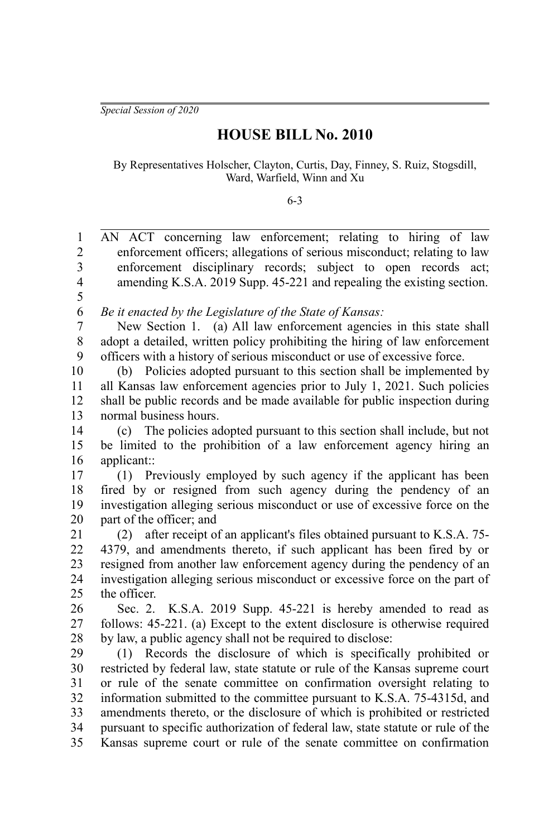*Special Session of 2020*

## **HOUSE BILL No. 2010**

By Representatives Holscher, Clayton, Curtis, Day, Finney, S. Ruiz, Stogsdill, Ward, Warfield, Winn and Xu

6-3

| $\,1$                   | AN ACT concerning law enforcement; relating to hiring of law                    |
|-------------------------|---------------------------------------------------------------------------------|
| $\sqrt{2}$              | enforcement officers; allegations of serious misconduct; relating to law        |
| $\overline{\mathbf{3}}$ | enforcement disciplinary records; subject to open records act;                  |
| $\overline{4}$<br>5     | amending K.S.A. 2019 Supp. 45-221 and repealing the existing section.           |
| 6                       | Be it enacted by the Legislature of the State of Kansas:                        |
| 7                       | New Section 1. (a) All law enforcement agencies in this state shall             |
| $\,$ $\,$               | adopt a detailed, written policy prohibiting the hiring of law enforcement      |
| 9                       | officers with a history of serious misconduct or use of excessive force.        |
| 10                      | Policies adopted pursuant to this section shall be implemented by<br>(b)        |
| 11                      | all Kansas law enforcement agencies prior to July 1, 2021. Such policies        |
| 12                      | shall be public records and be made available for public inspection during      |
| 13                      | normal business hours.                                                          |
| 14                      | (c) The policies adopted pursuant to this section shall include, but not        |
| 15                      | be limited to the prohibition of a law enforcement agency hiring an             |
| 16                      | applicant::                                                                     |
| 17                      | (1) Previously employed by such agency if the applicant has been                |
| 18                      | fired by or resigned from such agency during the pendency of an                 |
| 19                      | investigation alleging serious misconduct or use of excessive force on the      |
| 20                      | part of the officer; and                                                        |
| 21                      | after receipt of an applicant's files obtained pursuant to K.S.A. 75-<br>(2)    |
| 22                      | 4379, and amendments thereto, if such applicant has been fired by or            |
| 23                      | resigned from another law enforcement agency during the pendency of an          |
| 24                      | investigation alleging serious misconduct or excessive force on the part of     |
| 25                      | the officer.                                                                    |
| 26                      | Sec. 2. K.S.A. 2019 Supp. 45-221 is hereby amended to read as                   |
| 27                      | follows: 45-221. (a) Except to the extent disclosure is otherwise required      |
| 28                      | by law, a public agency shall not be required to disclose:                      |
| 29                      | (1) Records the disclosure of which is specifically prohibited or               |
| 30                      | restricted by federal law, state statute or rule of the Kansas supreme court    |
| 31                      | or rule of the senate committee on confirmation oversight relating to           |
| 32                      | information submitted to the committee pursuant to K.S.A. 75-4315d, and         |
| 33                      | amendments thereto, or the disclosure of which is prohibited or restricted      |
| 34                      | pursuant to specific authorization of federal law, state statute or rule of the |
| 35                      | Kansas supreme court or rule of the senate committee on confirmation            |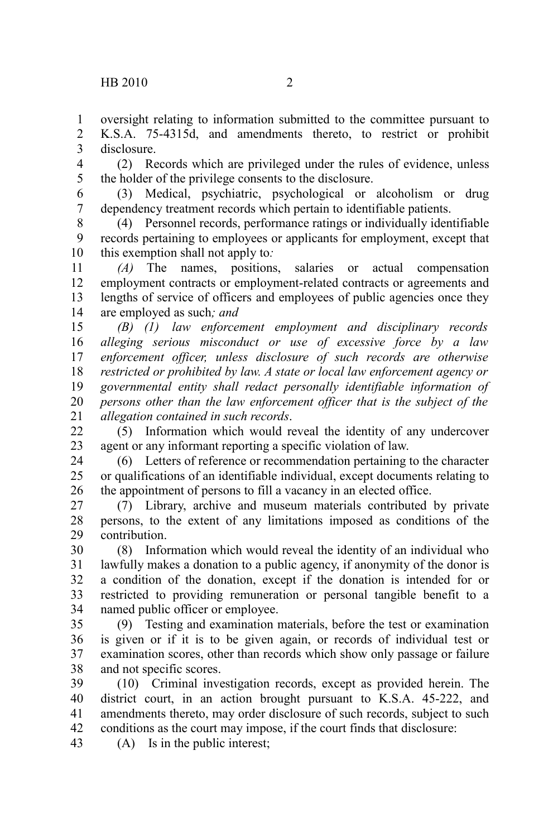oversight relating to information submitted to the committee pursuant to K.S.A. 75-4315d, and amendments thereto, to restrict or prohibit disclosure. 1 2 3

(2) Records which are privileged under the rules of evidence, unless the holder of the privilege consents to the disclosure. 4 5

(3) Medical, psychiatric, psychological or alcoholism or drug dependency treatment records which pertain to identifiable patients. 6 7

(4) Personnel records, performance ratings or individually identifiable records pertaining to employees or applicants for employment, except that this exemption shall not apply to*:* 8 9 10

*(A)* The names, positions, salaries or actual compensation employment contracts or employment-related contracts or agreements and lengths of service of officers and employees of public agencies once they are employed as such*; and* 11 12 13 14

*(B) (1) law enforcement employment and disciplinary records alleging serious misconduct or use of excessive force by a law enforcement officer, unless disclosure of such records are otherwise restricted or prohibited by law. A state or local law enforcement agency or governmental entity shall redact personally identifiable information of persons other than the law enforcement officer that is the subject of the allegation contained in such records*. 15 16 17 18 19 20 21

(5) Information which would reveal the identity of any undercover agent or any informant reporting a specific violation of law. 22 23

(6) Letters of reference or recommendation pertaining to the character or qualifications of an identifiable individual, except documents relating to the appointment of persons to fill a vacancy in an elected office. 24 25 26

(7) Library, archive and museum materials contributed by private persons, to the extent of any limitations imposed as conditions of the contribution. 27 28 29

(8) Information which would reveal the identity of an individual who lawfully makes a donation to a public agency, if anonymity of the donor is a condition of the donation, except if the donation is intended for or restricted to providing remuneration or personal tangible benefit to a named public officer or employee. 30 31 32 33 34

(9) Testing and examination materials, before the test or examination is given or if it is to be given again, or records of individual test or examination scores, other than records which show only passage or failure and not specific scores. 35 36 37 38

(10) Criminal investigation records, except as provided herein. The district court, in an action brought pursuant to K.S.A. 45-222, and amendments thereto, may order disclosure of such records, subject to such conditions as the court may impose, if the court finds that disclosure: 39 40 41 42

(A) Is in the public interest; 43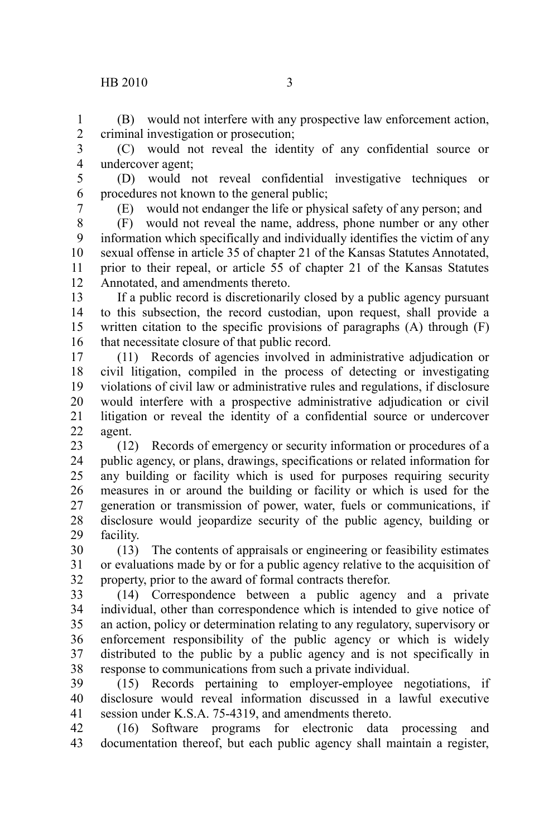## $HB 2010$  3

(B) would not interfere with any prospective law enforcement action, criminal investigation or prosecution; 1 2

(C) would not reveal the identity of any confidential source or undercover agent; 3 4

(D) would not reveal confidential investigative techniques or procedures not known to the general public; 5 6

7

(E) would not endanger the life or physical safety of any person; and

(F) would not reveal the name, address, phone number or any other information which specifically and individually identifies the victim of any sexual offense in article 35 of chapter 21 of the Kansas Statutes Annotated, prior to their repeal, or article 55 of chapter 21 of the Kansas Statutes Annotated, and amendments thereto. 8 9 10 11 12

If a public record is discretionarily closed by a public agency pursuant to this subsection, the record custodian, upon request, shall provide a written citation to the specific provisions of paragraphs (A) through (F) that necessitate closure of that public record. 13 14 15 16

(11) Records of agencies involved in administrative adjudication or civil litigation, compiled in the process of detecting or investigating violations of civil law or administrative rules and regulations, if disclosure would interfere with a prospective administrative adjudication or civil litigation or reveal the identity of a confidential source or undercover agent. 17 18 19 20 21 22

(12) Records of emergency or security information or procedures of a public agency, or plans, drawings, specifications or related information for any building or facility which is used for purposes requiring security measures in or around the building or facility or which is used for the generation or transmission of power, water, fuels or communications, if disclosure would jeopardize security of the public agency, building or facility. 23 24 25 26 27 28 29

(13) The contents of appraisals or engineering or feasibility estimates or evaluations made by or for a public agency relative to the acquisition of property, prior to the award of formal contracts therefor. 30 31 32

(14) Correspondence between a public agency and a private individual, other than correspondence which is intended to give notice of an action, policy or determination relating to any regulatory, supervisory or enforcement responsibility of the public agency or which is widely distributed to the public by a public agency and is not specifically in response to communications from such a private individual. 33 34 35 36 37 38

(15) Records pertaining to employer-employee negotiations, if disclosure would reveal information discussed in a lawful executive session under K.S.A. 75-4319, and amendments thereto. 39 40 41

(16) Software programs for electronic data processing and documentation thereof, but each public agency shall maintain a register, 42 43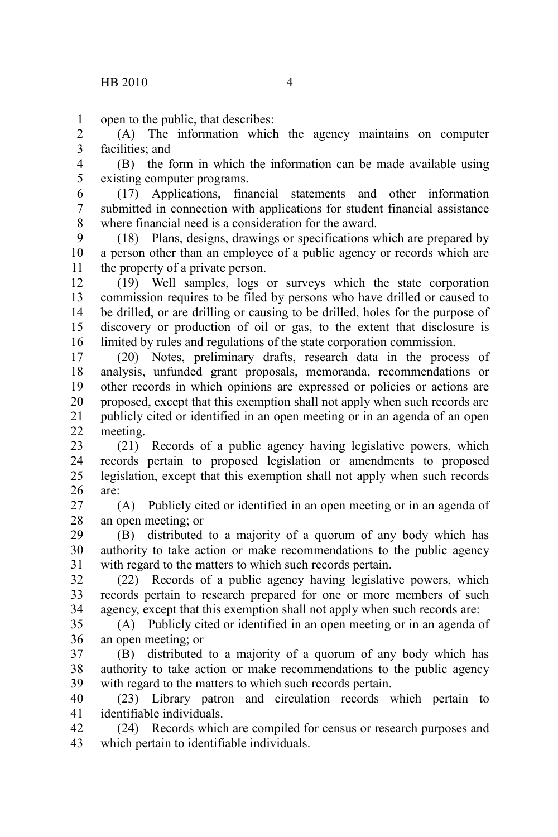open to the public, that describes: 1

(A) The information which the agency maintains on computer facilities; and 2 3

(B) the form in which the information can be made available using existing computer programs. 4 5

(17) Applications, financial statements and other information submitted in connection with applications for student financial assistance where financial need is a consideration for the award. 6 7 8

(18) Plans, designs, drawings or specifications which are prepared by a person other than an employee of a public agency or records which are the property of a private person. 9 10 11

(19) Well samples, logs or surveys which the state corporation commission requires to be filed by persons who have drilled or caused to be drilled, or are drilling or causing to be drilled, holes for the purpose of discovery or production of oil or gas, to the extent that disclosure is limited by rules and regulations of the state corporation commission. 12 13 14 15 16

(20) Notes, preliminary drafts, research data in the process of analysis, unfunded grant proposals, memoranda, recommendations or other records in which opinions are expressed or policies or actions are proposed, except that this exemption shall not apply when such records are publicly cited or identified in an open meeting or in an agenda of an open meeting. 17 18 19 20 21 22

(21) Records of a public agency having legislative powers, which records pertain to proposed legislation or amendments to proposed legislation, except that this exemption shall not apply when such records are: 23 24 25 26

(A) Publicly cited or identified in an open meeting or in an agenda of an open meeting; or 27 28

(B) distributed to a majority of a quorum of any body which has authority to take action or make recommendations to the public agency with regard to the matters to which such records pertain. 29 30 31

(22) Records of a public agency having legislative powers, which records pertain to research prepared for one or more members of such agency, except that this exemption shall not apply when such records are: 32 33 34

(A) Publicly cited or identified in an open meeting or in an agenda of an open meeting; or 35 36

(B) distributed to a majority of a quorum of any body which has authority to take action or make recommendations to the public agency with regard to the matters to which such records pertain. 37 38 39

(23) Library patron and circulation records which pertain to identifiable individuals. 40 41

(24) Records which are compiled for census or research purposes and which pertain to identifiable individuals. 42 43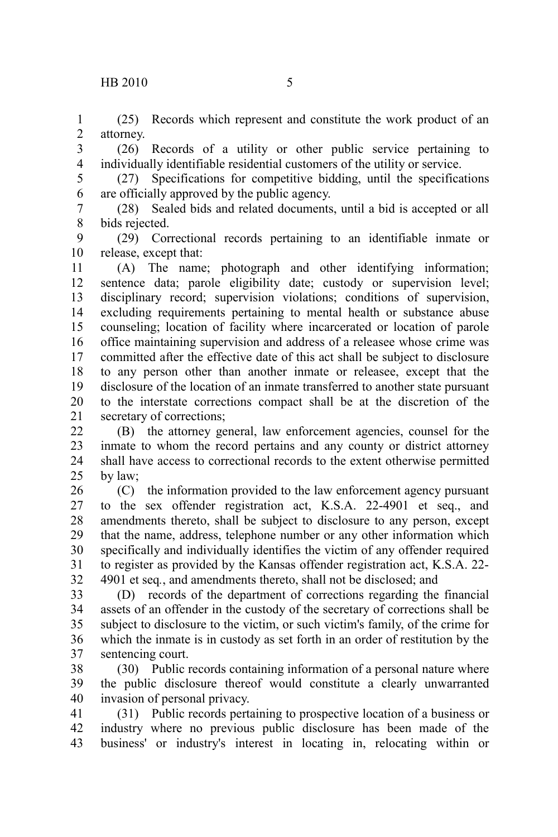(25) Records which represent and constitute the work product of an attorney. 1 2

(26) Records of a utility or other public service pertaining to individually identifiable residential customers of the utility or service. 3 4

(27) Specifications for competitive bidding, until the specifications are officially approved by the public agency. 5 6

(28) Sealed bids and related documents, until a bid is accepted or all bids rejected. 7 8

(29) Correctional records pertaining to an identifiable inmate or release, except that: 9 10

(A) The name; photograph and other identifying information; sentence data; parole eligibility date; custody or supervision level; disciplinary record; supervision violations; conditions of supervision, excluding requirements pertaining to mental health or substance abuse counseling; location of facility where incarcerated or location of parole office maintaining supervision and address of a releasee whose crime was committed after the effective date of this act shall be subject to disclosure to any person other than another inmate or releasee, except that the disclosure of the location of an inmate transferred to another state pursuant to the interstate corrections compact shall be at the discretion of the secretary of corrections; 11 12 13 14 15 16 17 18 19 20 21

(B) the attorney general, law enforcement agencies, counsel for the inmate to whom the record pertains and any county or district attorney shall have access to correctional records to the extent otherwise permitted by law; 22 23 24 25

(C) the information provided to the law enforcement agency pursuant to the sex offender registration act, K.S.A. 22-4901 et seq., and amendments thereto, shall be subject to disclosure to any person, except that the name, address, telephone number or any other information which specifically and individually identifies the victim of any offender required to register as provided by the Kansas offender registration act, K.S.A. 22- 4901 et seq*.*, and amendments thereto, shall not be disclosed; and 26 27 28 29 30 31 32

(D) records of the department of corrections regarding the financial assets of an offender in the custody of the secretary of corrections shall be subject to disclosure to the victim, or such victim's family, of the crime for which the inmate is in custody as set forth in an order of restitution by the sentencing court. 33 34 35 36 37

(30) Public records containing information of a personal nature where the public disclosure thereof would constitute a clearly unwarranted invasion of personal privacy. 38 39 40

(31) Public records pertaining to prospective location of a business or industry where no previous public disclosure has been made of the business' or industry's interest in locating in, relocating within or 41 42 43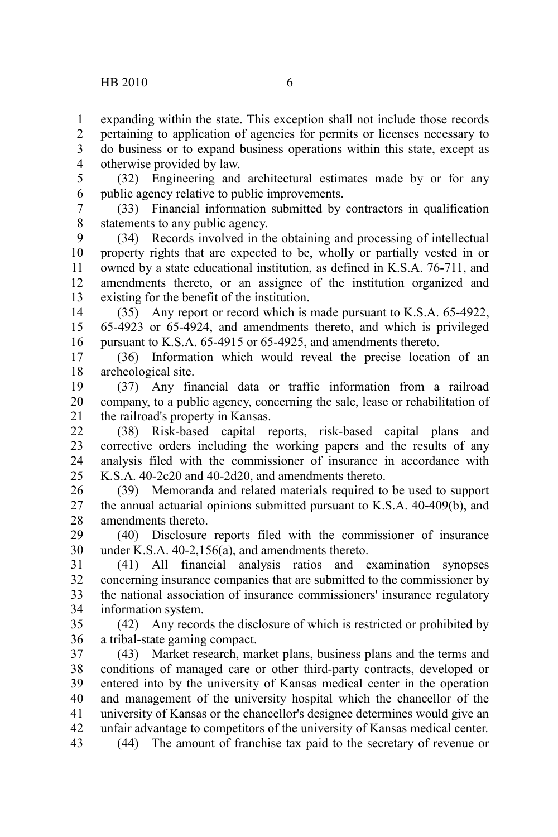expanding within the state. This exception shall not include those records pertaining to application of agencies for permits or licenses necessary to do business or to expand business operations within this state, except as otherwise provided by law. 1 2 3 4

(32) Engineering and architectural estimates made by or for any public agency relative to public improvements. 5 6

(33) Financial information submitted by contractors in qualification statements to any public agency. 7 8

(34) Records involved in the obtaining and processing of intellectual property rights that are expected to be, wholly or partially vested in or owned by a state educational institution, as defined in K.S.A. 76-711, and amendments thereto, or an assignee of the institution organized and existing for the benefit of the institution. 9 10 11 12 13

(35) Any report or record which is made pursuant to K.S.A. 65-4922, 65-4923 or 65-4924, and amendments thereto, and which is privileged pursuant to K.S.A. 65-4915 or 65-4925, and amendments thereto. 14 15 16

(36) Information which would reveal the precise location of an archeological site. 17 18

(37) Any financial data or traffic information from a railroad company, to a public agency, concerning the sale, lease or rehabilitation of the railroad's property in Kansas. 19 20 21

(38) Risk-based capital reports, risk-based capital plans and corrective orders including the working papers and the results of any analysis filed with the commissioner of insurance in accordance with K.S.A. 40-2c20 and 40-2d20, and amendments thereto.  $22$ 23 24 25

(39) Memoranda and related materials required to be used to support the annual actuarial opinions submitted pursuant to K.S.A. 40-409(b), and amendments thereto. 26 27 28

(40) Disclosure reports filed with the commissioner of insurance under K.S.A. 40-2,156(a), and amendments thereto. 29 30

(41) All financial analysis ratios and examination synopses concerning insurance companies that are submitted to the commissioner by the national association of insurance commissioners' insurance regulatory information system. 31 32 33 34

(42) Any records the disclosure of which is restricted or prohibited by a tribal-state gaming compact. 35 36

(43) Market research, market plans, business plans and the terms and conditions of managed care or other third-party contracts, developed or entered into by the university of Kansas medical center in the operation and management of the university hospital which the chancellor of the university of Kansas or the chancellor's designee determines would give an unfair advantage to competitors of the university of Kansas medical center. (44) The amount of franchise tax paid to the secretary of revenue or 37 38 39 40 41 42 43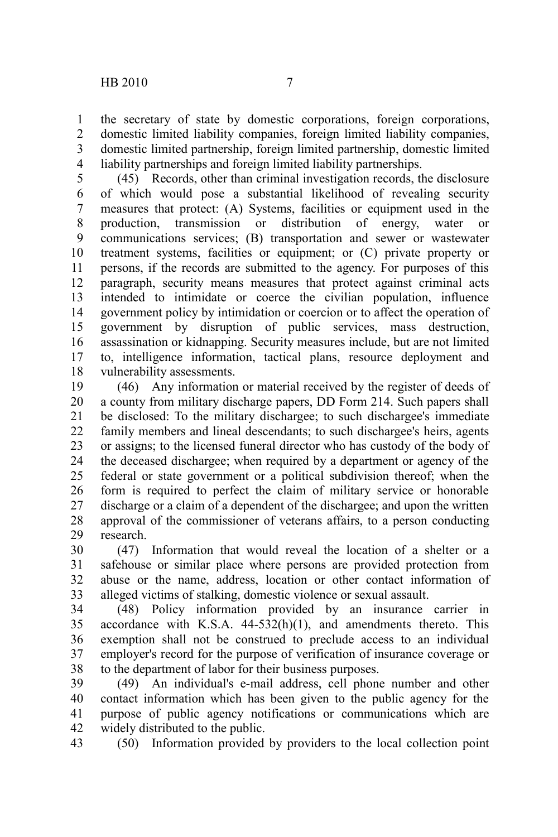the secretary of state by domestic corporations, foreign corporations, domestic limited liability companies, foreign limited liability companies, domestic limited partnership, foreign limited partnership, domestic limited liability partnerships and foreign limited liability partnerships. 1 2 3 4

(45) Records, other than criminal investigation records, the disclosure of which would pose a substantial likelihood of revealing security measures that protect: (A) Systems, facilities or equipment used in the production, transmission or distribution of energy, water or communications services; (B) transportation and sewer or wastewater treatment systems, facilities or equipment; or (C) private property or persons, if the records are submitted to the agency. For purposes of this paragraph, security means measures that protect against criminal acts intended to intimidate or coerce the civilian population, influence government policy by intimidation or coercion or to affect the operation of government by disruption of public services, mass destruction, assassination or kidnapping. Security measures include, but are not limited to, intelligence information, tactical plans, resource deployment and vulnerability assessments. 5 6 7 8 9 10 11 12 13 14 15 16 17 18

(46) Any information or material received by the register of deeds of a county from military discharge papers, DD Form 214. Such papers shall be disclosed: To the military dischargee; to such dischargee's immediate family members and lineal descendants; to such dischargee's heirs, agents or assigns; to the licensed funeral director who has custody of the body of the deceased dischargee; when required by a department or agency of the federal or state government or a political subdivision thereof; when the form is required to perfect the claim of military service or honorable discharge or a claim of a dependent of the dischargee; and upon the written approval of the commissioner of veterans affairs, to a person conducting research. 19 20 21 22 23 24 25 26 27 28 29

(47) Information that would reveal the location of a shelter or a safehouse or similar place where persons are provided protection from abuse or the name, address, location or other contact information of alleged victims of stalking, domestic violence or sexual assault. 30 31 32 33

(48) Policy information provided by an insurance carrier in accordance with K.S.A. 44-532(h)(1), and amendments thereto. This exemption shall not be construed to preclude access to an individual employer's record for the purpose of verification of insurance coverage or to the department of labor for their business purposes. 34 35 36 37 38

(49) An individual's e-mail address, cell phone number and other contact information which has been given to the public agency for the purpose of public agency notifications or communications which are widely distributed to the public. 39 40 41 42

(50) Information provided by providers to the local collection point 43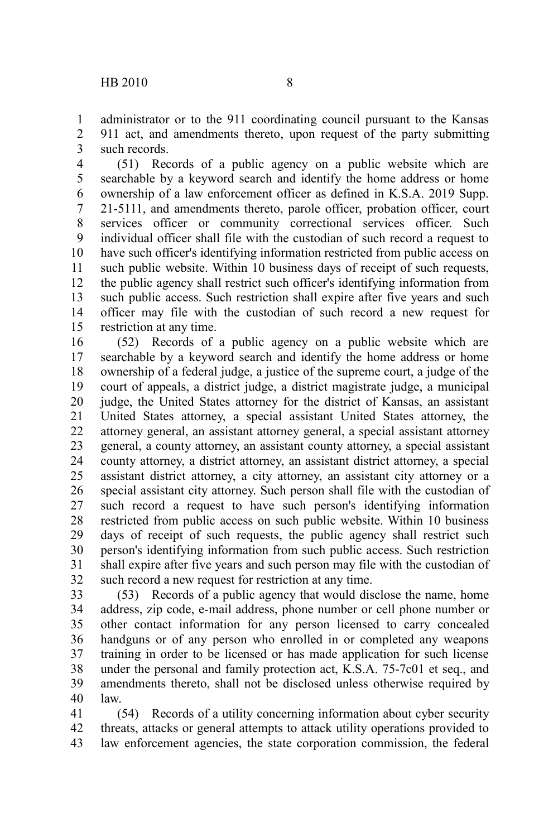administrator or to the 911 coordinating council pursuant to the Kansas 911 act, and amendments thereto, upon request of the party submitting such records. 1 2 3

(51) Records of a public agency on a public website which are searchable by a keyword search and identify the home address or home ownership of a law enforcement officer as defined in K.S.A. 2019 Supp. 21-5111, and amendments thereto, parole officer, probation officer, court services officer or community correctional services officer. Such individual officer shall file with the custodian of such record a request to have such officer's identifying information restricted from public access on such public website. Within 10 business days of receipt of such requests, the public agency shall restrict such officer's identifying information from such public access. Such restriction shall expire after five years and such officer may file with the custodian of such record a new request for restriction at any time. 4 5 6 7 8 9 10 11 12 13 14 15

(52) Records of a public agency on a public website which are searchable by a keyword search and identify the home address or home ownership of a federal judge, a justice of the supreme court, a judge of the court of appeals, a district judge, a district magistrate judge, a municipal judge, the United States attorney for the district of Kansas, an assistant United States attorney, a special assistant United States attorney, the attorney general, an assistant attorney general, a special assistant attorney general, a county attorney, an assistant county attorney, a special assistant county attorney, a district attorney, an assistant district attorney, a special assistant district attorney, a city attorney, an assistant city attorney or a special assistant city attorney. Such person shall file with the custodian of such record a request to have such person's identifying information restricted from public access on such public website. Within 10 business days of receipt of such requests, the public agency shall restrict such person's identifying information from such public access. Such restriction shall expire after five years and such person may file with the custodian of such record a new request for restriction at any time. 16 17 18 19 20 21 22 23 24 25 26 27 28 29 30 31 32

(53) Records of a public agency that would disclose the name, home address, zip code, e-mail address, phone number or cell phone number or other contact information for any person licensed to carry concealed handguns or of any person who enrolled in or completed any weapons training in order to be licensed or has made application for such license under the personal and family protection act, K.S.A. 75-7c01 et seq., and amendments thereto, shall not be disclosed unless otherwise required by law. 33 34 35 36 37 38 39 40

(54) Records of a utility concerning information about cyber security threats, attacks or general attempts to attack utility operations provided to law enforcement agencies, the state corporation commission, the federal 41 42 43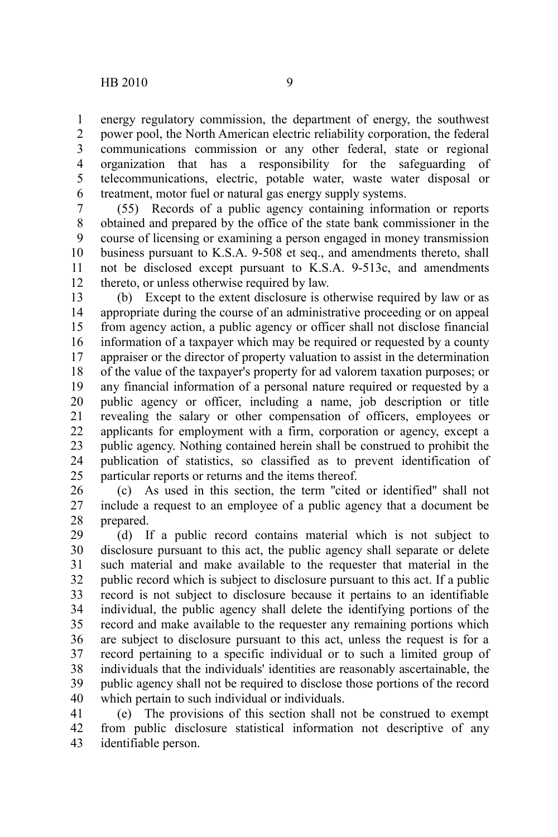energy regulatory commission, the department of energy, the southwest power pool, the North American electric reliability corporation, the federal communications commission or any other federal, state or regional organization that has a responsibility for the safeguarding of telecommunications, electric, potable water, waste water disposal or treatment, motor fuel or natural gas energy supply systems. 1 2 3 4 5 6

(55) Records of a public agency containing information or reports obtained and prepared by the office of the state bank commissioner in the course of licensing or examining a person engaged in money transmission business pursuant to K.S.A. 9-508 et seq., and amendments thereto, shall not be disclosed except pursuant to K.S.A. 9-513c, and amendments thereto, or unless otherwise required by law. 7 8 9 10 11 12

(b) Except to the extent disclosure is otherwise required by law or as appropriate during the course of an administrative proceeding or on appeal from agency action, a public agency or officer shall not disclose financial information of a taxpayer which may be required or requested by a county appraiser or the director of property valuation to assist in the determination of the value of the taxpayer's property for ad valorem taxation purposes; or any financial information of a personal nature required or requested by a public agency or officer, including a name, job description or title revealing the salary or other compensation of officers, employees or applicants for employment with a firm, corporation or agency, except a public agency. Nothing contained herein shall be construed to prohibit the publication of statistics, so classified as to prevent identification of particular reports or returns and the items thereof. 13 14 15 16 17 18 19 20 21 22 23 24 25

(c) As used in this section, the term ''cited or identified'' shall not include a request to an employee of a public agency that a document be prepared. 26 27 28

(d) If a public record contains material which is not subject to disclosure pursuant to this act, the public agency shall separate or delete such material and make available to the requester that material in the public record which is subject to disclosure pursuant to this act. If a public record is not subject to disclosure because it pertains to an identifiable individual, the public agency shall delete the identifying portions of the record and make available to the requester any remaining portions which are subject to disclosure pursuant to this act, unless the request is for a record pertaining to a specific individual or to such a limited group of individuals that the individuals' identities are reasonably ascertainable, the public agency shall not be required to disclose those portions of the record which pertain to such individual or individuals. 29 30 31 32 33 34 35 36 37 38 39 40

(e) The provisions of this section shall not be construed to exempt from public disclosure statistical information not descriptive of any identifiable person. 41 42 43